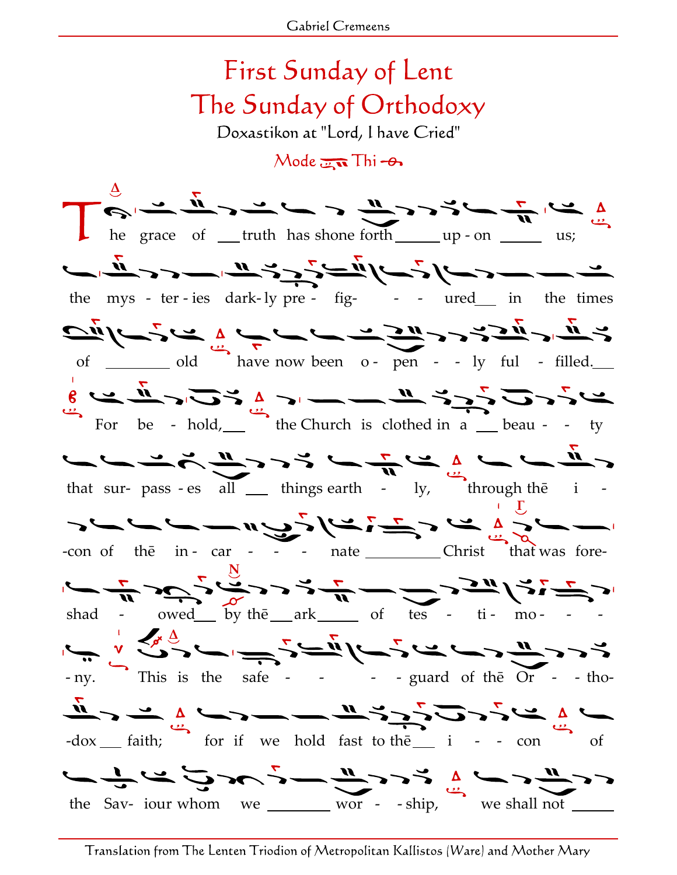## First Sunday of Lent The Sunday of Orthodoxy Doxastikon at "Lord, I have Cried"  $Mode$   $\overline{m}$  Thi  $\rightarrow$ Δ he grace of <u>truth</u> has shone forth  $\mu$  up - on  $\mu$  us; ت — — دے اقسام تھا اُن کے توسیل اور تم اِن سے — ت the mys - ter - ies dark- ly pre - fig- - - ured\_ in the times  $\frac{1}{\sqrt{2}}\int_{0}^{1}$  of  $\frac{1}{\sqrt{2}}\int_{0}^{1}$  old have now been 0- pen - - ly ful - filled.  $\frac{1}{6}$   $\frac{1}{6}$   $\frac{1}{6}$   $\frac{1}{6}$   $\frac{1}{3}$   $\frac{1}{2}$   $\frac{1}{3}$   $\frac{1}{2}$   $\frac{1}{3}$   $\frac{1}{2}$   $\frac{1}{3}$   $\frac{1}{2}$   $\frac{1}{3}$   $\frac{1}{2}$   $\frac{1}{3}$   $\frac{1}{2}$   $\frac{1}{3}$   $\frac{1}{2}$   $\frac{1}{3}$   $\frac{1}{2}$   $\frac{1}{3}$   $\frac{1}{3}$  that sur- pass - es all  $\frac{1}{\sqrt{1}}$  things earth - ly, through the i -سائے کے اس سے اس کے اس کے اسے اس کے لیے اس کے لیے اس کے لیے اس کے لیے اس کے لیے اس کے لیے اس کے لیے اس کے لیے<br>اس کے لیے اس کے اس کے لیے اس کے لیے اس کے لیے اس کے لیے اس کے لیے اس کے لیے اس کے لیے اس کے لیے اس کے لیے اس ک -con of the in - car - - - nate \_\_\_\_\_\_\_\_\_\_\_Christ that was fore- $\frac{d}{dt}$  کے دیکھیے کے لیے جر د دیکھ دیکھو لگے س shad - owed by the ark of  $tes - ti - mo -$ Δ - ny. This is the safe - - - - guard of thē Or - - tho-  $\frac{\pi}{2}$   $\frac{\pi}{2}$   $\frac{\pi}{2}$   $\frac{\pi}{2}$   $\frac{\pi}{2}$   $\frac{\pi}{2}$   $\frac{\pi}{2}$   $\frac{\pi}{2}$   $\frac{\pi}{2}$   $\frac{\pi}{2}$   $\frac{\pi}{2}$   $\frac{\pi}{2}$   $\frac{\pi}{2}$   $\frac{\pi}{2}$   $\frac{\pi}{2}$   $\frac{\pi}{2}$   $\frac{\pi}{2}$   $\frac{\pi}{2}$   $\frac{\pi}{2}$   $\frac{\pi}{2}$   $\frac{\pi}{2}$   $\frac{\pi}{2}$   $t_{\rm b}$   $\frac{1}{\sqrt{2}}$   $\frac{1}{\sqrt{2}}$   $\frac{1}{\sqrt{2}}$   $\frac{1}{\sqrt{2}}$   $\frac{1}{\sqrt{2}}$   $\frac{1}{\sqrt{2}}$   $\frac{1}{\sqrt{2}}$   $\frac{1}{\sqrt{2}}$   $\frac{1}{\sqrt{2}}$   $\frac{1}{\sqrt{2}}$   $\frac{1}{\sqrt{2}}$   $\frac{1}{\sqrt{2}}$   $\frac{1}{\sqrt{2}}$   $\frac{1}{\sqrt{2}}$   $\frac{1}{\sqrt{2}}$   $\frac{1}{\sqrt{2}}$   $\frac{$

Translation from The Lenten Triodion of Metropolitan Kallistos (Ware) and Mother Mary